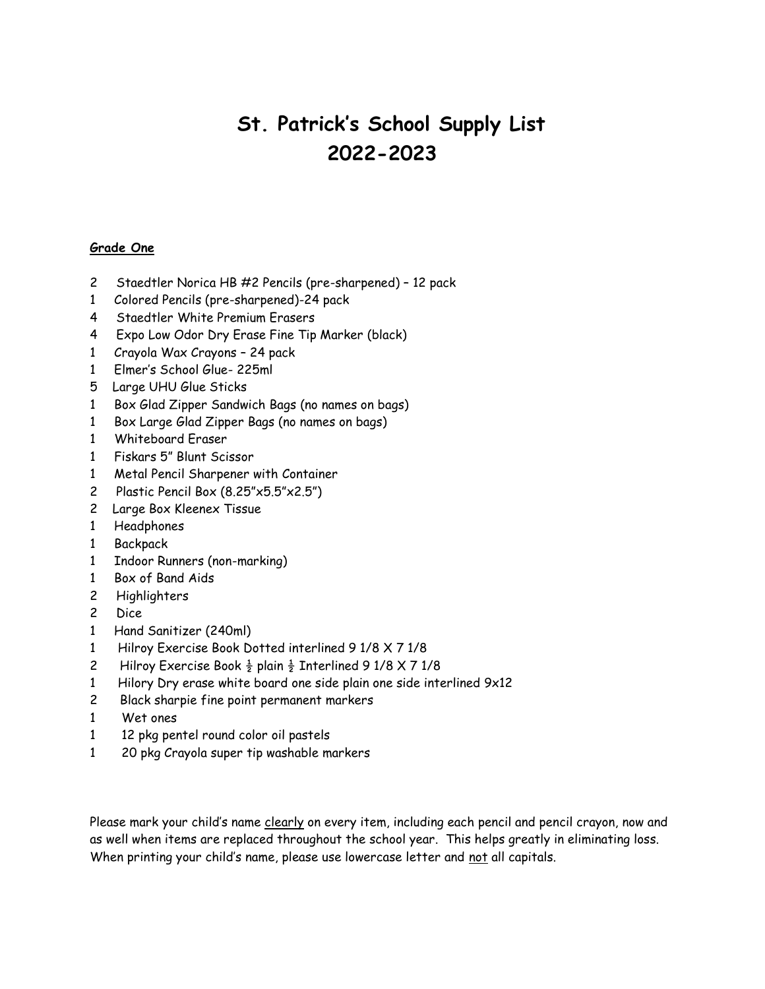### **Grade One**

- 2 Staedtler Norica HB #2 Pencils (pre-sharpened) 12 pack
- 1 Colored Pencils (pre-sharpened)-24 pack
- 4 Staedtler White Premium Erasers
- 4 Expo Low Odor Dry Erase Fine Tip Marker (black)
- 1 Crayola Wax Crayons 24 pack
- 1 Elmer's School Glue- 225ml
- 5 Large UHU Glue Sticks
- 1 Box Glad Zipper Sandwich Bags (no names on bags)
- 1 Box Large Glad Zipper Bags (no names on bags)
- 1 Whiteboard Eraser
- 1 Fiskars 5" Blunt Scissor
- 1 Metal Pencil Sharpener with Container
- 2 Plastic Pencil Box (8.25"x5.5"x2.5")
- 2 Large Box Kleenex Tissue
- 1 Headphones
- 1 Backpack
- 1 Indoor Runners (non-marking)
- 1 Box of Band Aids
- 2 Highlighters
- 2 Dice
- 1 Hand Sanitizer (240ml)
- 1 Hilroy Exercise Book Dotted interlined 9 1/8 X 7 1/8
- 2 Hilroy Exercise Book  $\frac{1}{2}$  plain  $\frac{1}{2}$  Interlined 9 1/8 X 7 1/8
- 1 Hilory Dry erase white board one side plain one side interlined 9x12
- 2 Black sharpie fine point permanent markers
- 1 Wet ones
- 1 12 pkg pentel round color oil pastels
- 1 20 pkg Crayola super tip washable markers

Please mark your child's name clearly on every item, including each pencil and pencil crayon, now and as well when items are replaced throughout the school year. This helps greatly in eliminating loss. When printing your child's name, please use lowercase letter and not all capitals.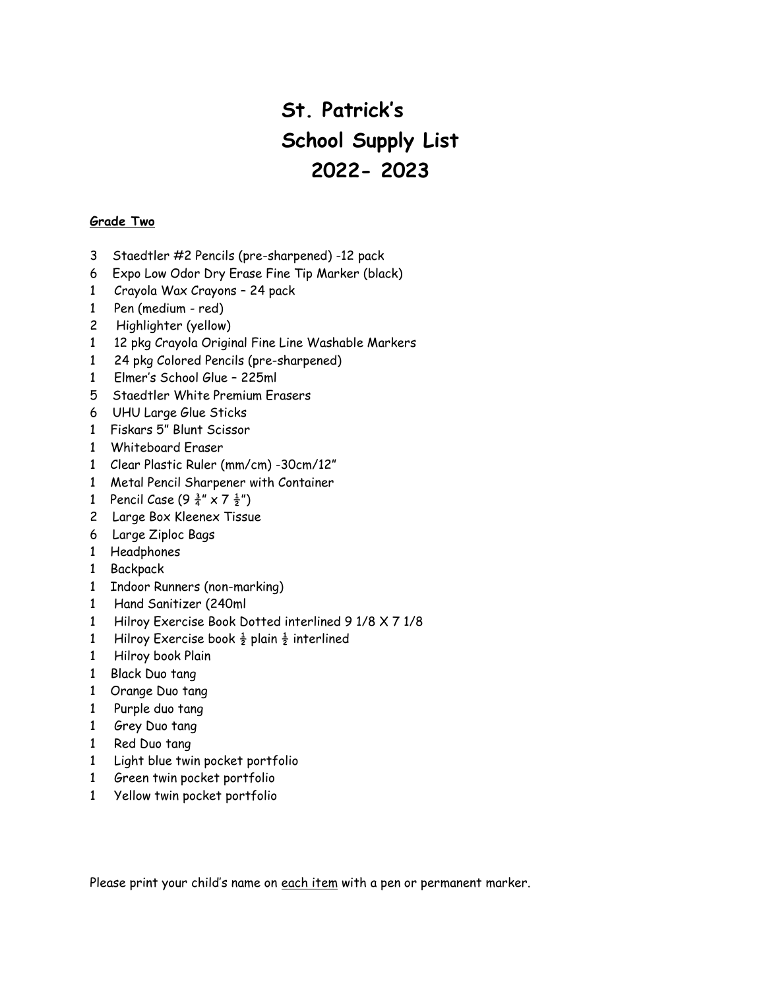#### **Grade Two**

- 3 Staedtler #2 Pencils (pre-sharpened) -12 pack
- 6 Expo Low Odor Dry Erase Fine Tip Marker (black)
- 1 Crayola Wax Crayons 24 pack
- 1 Pen (medium red)
- 2 Highlighter (yellow)
- 1 12 pkg Crayola Original Fine Line Washable Markers
- 1 24 pkg Colored Pencils (pre-sharpened)
- 1 Elmer's School Glue 225ml
- 5 Staedtler White Premium Erasers
- 6 UHU Large Glue Sticks
- 1 Fiskars 5" Blunt Scissor
- 1 Whiteboard Eraser
- 1 Clear Plastic Ruler (mm/cm) -30cm/12"
- 1 Metal Pencil Sharpener with Container
- 1 Pencil Case  $(9\frac{3}{4}'' \times 7\frac{1}{2}''')$
- 2 Large Box Kleenex Tissue
- 6 Large Ziploc Bags
- 1 Headphones
- 1 Backpack
- 1 Indoor Runners (non-marking)
- 1 Hand Sanitizer (240ml
- 1 Hilroy Exercise Book Dotted interlined 9 1/8 X 7 1/8
- 1 Hilroy Exercise book  $\frac{1}{2}$  plain  $\frac{1}{2}$  interlined
- 1 Hilroy book Plain
- 1 Black Duo tang
- 1 Orange Duo tang
- 1 Purple duo tang
- 1 Grey Duo tang
- 1 Red Duo tang
- 1 Light blue twin pocket portfolio
- 1 Green twin pocket portfolio
- 1 Yellow twin pocket portfolio

Please print your child's name on each item with a pen or permanent marker.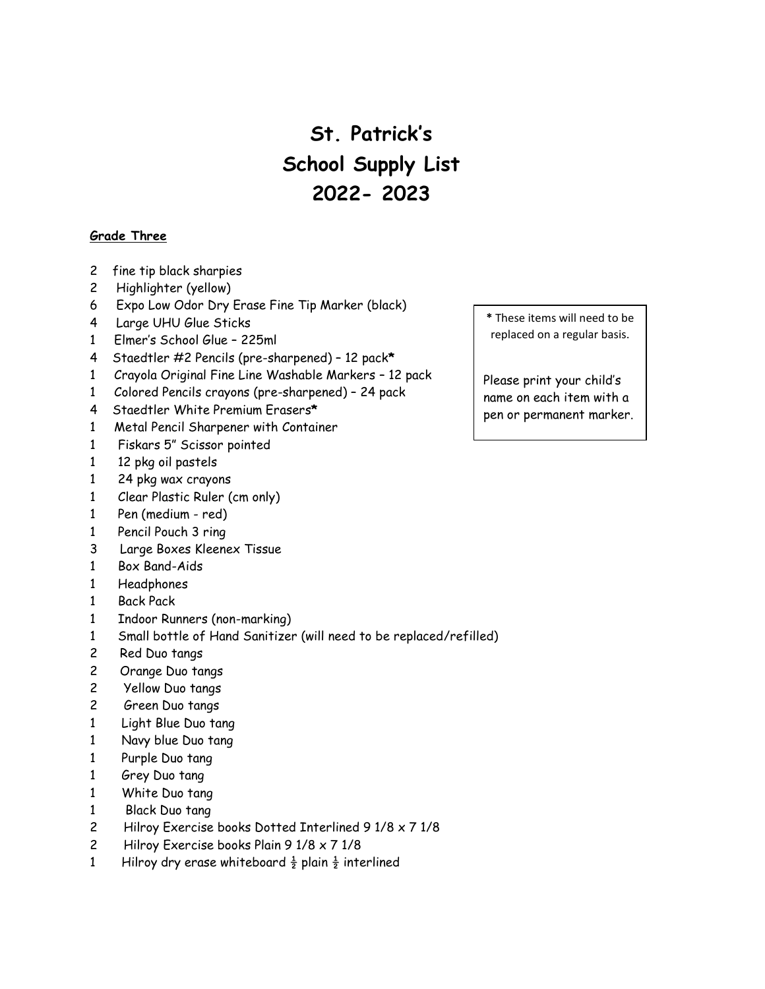#### **Grade Three**

- 2 fine tip black sharpies
- 2 Highlighter (yellow)
- 6 Expo Low Odor Dry Erase Fine Tip Marker (black)
- 4 Large UHU Glue Sticks
- 1 Elmer's School Glue 225ml
- 4 Staedtler #2 Pencils (pre-sharpened) 12 pack**\***
- 1 Crayola Original Fine Line Washable Markers 12 pack
- 1 Colored Pencils crayons (pre-sharpened) 24 pack
- 4 Staedtler White Premium Erasers**\***
- 1 Metal Pencil Sharpener with Container
- 1 Fiskars 5" Scissor pointed
- 1 12 pkg oil pastels
- 1 24 pkg wax crayons
- 1 Clear Plastic Ruler (cm only)
- 1 Pen (medium red)
- 1 Pencil Pouch 3 ring
- 3 Large Boxes Kleenex Tissue
- 1 Box Band-Aids
- 1 Headphones
- 1 Back Pack
- 1 Indoor Runners (non-marking)
- 1 Small bottle of Hand Sanitizer (will need to be replaced/refilled)
- 2 Red Duo tangs
- 2 Orange Duo tangs
- 2 Yellow Duo tangs
- 2 Green Duo tangs
- 1 Light Blue Duo tang
- 1 Navy blue Duo tang
- 1 Purple Duo tang
- 1 Grey Duo tang
- 1 White Duo tang
- 1 Black Duo tang
- 2 Hilroy Exercise books Dotted Interlined 9 1/8 x 7 1/8
- 2 Hilroy Exercise books Plain 9 1/8 x 7 1/8
- 1 Hilroy dry erase whiteboard  $\frac{1}{2}$  plain  $\frac{1}{2}$  interlined

**\*** These items will need to be replaced on a regular basis.

Please print your child's name on each item with a pen or permanent marker.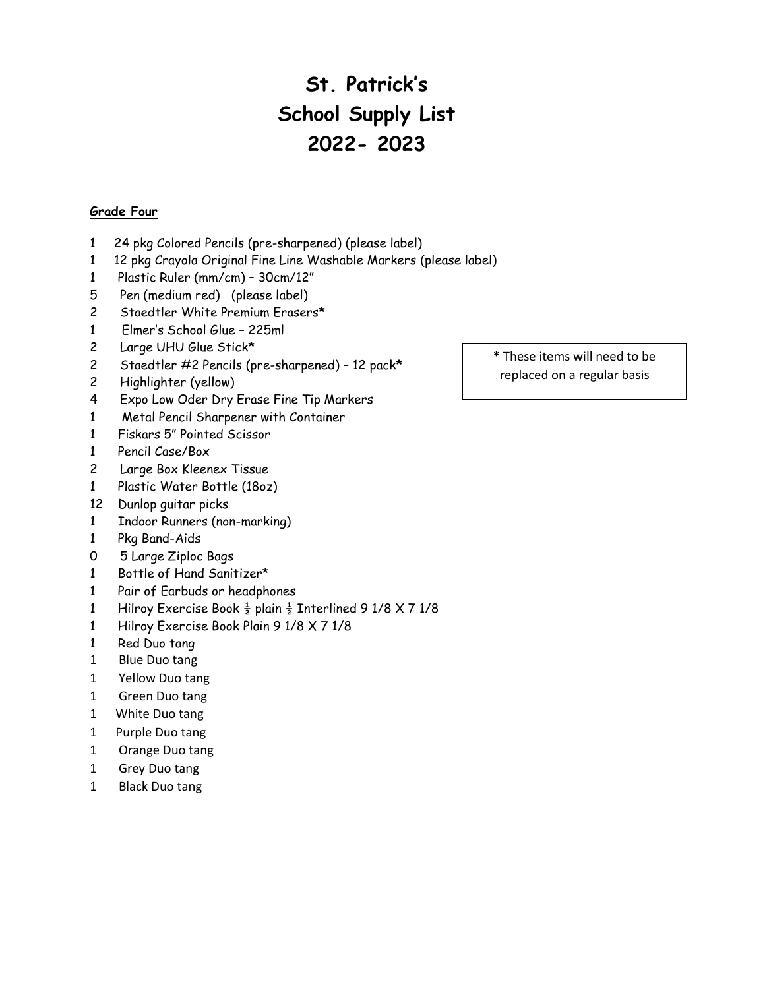#### **Grade Four**

- 1 24 pkg Colored Pencils (pre-sharpened) (please label)
- 1 12 pkg Crayola Original Fine Line Washable Markers (please label)
- 1 Plastic Ruler (mm/cm) 30cm/12"
- 5 Pen (medium red) (please label)
- 2 Staedtler White Premium Erasers**\***
- 1 Elmer's School Glue 225ml
- 2 Large UHU Glue Stick**\***
- 2 Staedtler #2 Pencils (pre-sharpened) 12 pack**\***
- 2 Highlighter (yellow)
- 4 Expo Low Oder Dry Erase Fine Tip Markers
- 1 Metal Pencil Sharpener with Container
- 1 Fiskars 5" Pointed Scissor
- 1 Pencil Case/Box
- 2 Large Box Kleenex Tissue
- 1 Plastic Water Bottle (18oz)
- 12 Dunlop guitar picks
- 1 Indoor Runners (non-marking)
- 1 Pkg Band-Aids
- 0 5 Large Ziploc Bags
- 1 Bottle of Hand Sanitizer\*
- 1 Pair of Earbuds or headphones
- 1 Hilroy Exercise Book  $\frac{1}{2}$  plain  $\frac{1}{2}$  Interlined 9 1/8 X 7 1/8
- 1 Hilroy Exercise Book Plain 9 1/8 X 7 1/8
- 1 Red Duo tang
- 1 Blue Duo tang
- 1 Yellow Duo tang
- 1 Green Duo tang
- 1 White Duo tang
- 1 Purple Duo tang
- 1 Orange Duo tang
- 1 Grey Duo tang
- 1 Black Duo tang

**\*** These items will need to be replaced on a regular basis